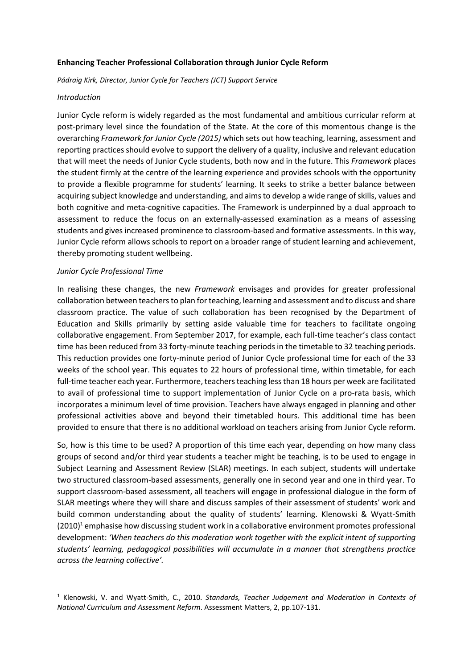### **Enhancing Teacher Professional Collaboration through Junior Cycle Reform**

*Pádraig Kirk, Director, Junior Cycle for Teachers (JCT) Support Service*

### *Introduction*

Junior Cycle reform is widely regarded as the most fundamental and ambitious curricular reform at post-primary level since the foundation of the State. At the core of this momentous change is the overarching *Framework for Junior Cycle (2015)* which sets out how teaching, learning, assessment and reporting practices should evolve to support the delivery of a quality, inclusive and relevant education that will meet the needs of Junior Cycle students, both now and in the future. This *Framework* places the student firmly at the centre of the learning experience and provides schools with the opportunity to provide a flexible programme for students' learning. It seeks to strike a better balance between acquiring subject knowledge and understanding, and aims to develop a wide range of skills, values and both cognitive and meta-cognitive capacities. The Framework is underpinned by a dual approach to assessment to reduce the focus on an externally-assessed examination as a means of assessing students and gives increased prominence to classroom-based and formative assessments. In this way, Junior Cycle reform allows schools to report on a broader range of student learning and achievement, thereby promoting student wellbeing.

### *Junior Cycle Professional Time*

1

In realising these changes, the new *Framework* envisages and provides for greater professional collaboration between teachers to plan for teaching, learning and assessment and to discuss and share classroom practice. The value of such collaboration has been recognised by the Department of Education and Skills primarily by setting aside valuable time for teachers to facilitate ongoing collaborative engagement. From September 2017, for example, each full-time teacher's class contact time has been reduced from 33 forty-minute teaching periods in the timetable to 32 teaching periods. This reduction provides one forty-minute period of Junior Cycle professional time for each of the 33 weeks of the school year. This equates to 22 hours of professional time, within timetable, for each full-time teacher each year. Furthermore, teachers teaching less than 18 hours per week are facilitated to avail of professional time to support implementation of Junior Cycle on a pro-rata basis, which incorporates a minimum level of time provision. Teachers have always engaged in planning and other professional activities above and beyond their timetabled hours. This additional time has been provided to ensure that there is no additional workload on teachers arising from Junior Cycle reform.

So, how is this time to be used? A proportion of this time each year, depending on how many class groups of second and/or third year students a teacher might be teaching, is to be used to engage in Subject Learning and Assessment Review (SLAR) meetings. In each subject, students will undertake two structured classroom-based assessments, generally one in second year and one in third year. To support classroom-based assessment, all teachers will engage in professional dialogue in the form of SLAR meetings where they will share and discuss samples of their assessment of students' work and build common understanding about the quality of students' learning. Klenowski & Wyatt-Smith  $(2010)^1$  emphasise how discussing student work in a collaborative environment promotes professional development: *'When teachers do this moderation work together with the explicit intent of supporting students' learning, pedagogical possibilities will accumulate in a manner that strengthens practice across the learning collective'.* 

<sup>1</sup> Klenowski, V. and Wyatt-Smith, C., 2010. *Standards, Teacher Judgement and Moderation in Contexts of National Curriculum and Assessment Reform*. Assessment Matters, 2, pp.107-131.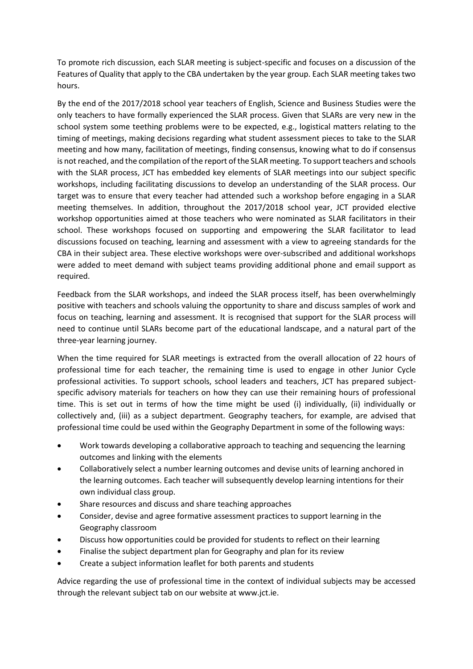To promote rich discussion, each SLAR meeting is subject-specific and focuses on a discussion of the Features of Quality that apply to the CBA undertaken by the year group. Each SLAR meeting takes two hours.

By the end of the 2017/2018 school year teachers of English, Science and Business Studies were the only teachers to have formally experienced the SLAR process. Given that SLARs are very new in the school system some teething problems were to be expected, e.g., logistical matters relating to the timing of meetings, making decisions regarding what student assessment pieces to take to the SLAR meeting and how many, facilitation of meetings, finding consensus, knowing what to do if consensus is not reached, and the compilation of the report of the SLAR meeting. To support teachers and schools with the SLAR process, JCT has embedded key elements of SLAR meetings into our subject specific workshops, including facilitating discussions to develop an understanding of the SLAR process. Our target was to ensure that every teacher had attended such a workshop before engaging in a SLAR meeting themselves. In addition, throughout the 2017/2018 school year, JCT provided elective workshop opportunities aimed at those teachers who were nominated as SLAR facilitators in their school. These workshops focused on supporting and empowering the SLAR facilitator to lead discussions focused on teaching, learning and assessment with a view to agreeing standards for the CBA in their subject area. These elective workshops were over-subscribed and additional workshops were added to meet demand with subject teams providing additional phone and email support as required.

Feedback from the SLAR workshops, and indeed the SLAR process itself, has been overwhelmingly positive with teachers and schools valuing the opportunity to share and discuss samples of work and focus on teaching, learning and assessment. It is recognised that support for the SLAR process will need to continue until SLARs become part of the educational landscape, and a natural part of the three-year learning journey.

When the time required for SLAR meetings is extracted from the overall allocation of 22 hours of professional time for each teacher, the remaining time is used to engage in other Junior Cycle professional activities. To support schools, school leaders and teachers, JCT has prepared subjectspecific advisory materials for teachers on how they can use their remaining hours of professional time. This is set out in terms of how the time might be used (i) individually, (ii) individually or collectively and, (iii) as a subject department. Geography teachers, for example, are advised that professional time could be used within the Geography Department in some of the following ways:

- Work towards developing a collaborative approach to teaching and sequencing the learning outcomes and linking with the elements
- Collaboratively select a number learning outcomes and devise units of learning anchored in the learning outcomes. Each teacher will subsequently develop learning intentions for their own individual class group.
- Share resources and discuss and share teaching approaches
- Consider, devise and agree formative assessment practices to support learning in the Geography classroom
- Discuss how opportunities could be provided for students to reflect on their learning
- Finalise the subject department plan for Geography and plan for its review
- Create a subject information leaflet for both parents and students

Advice regarding the use of professional time in the context of individual subjects may be accessed through the relevant subject tab on our website at www.jct.ie.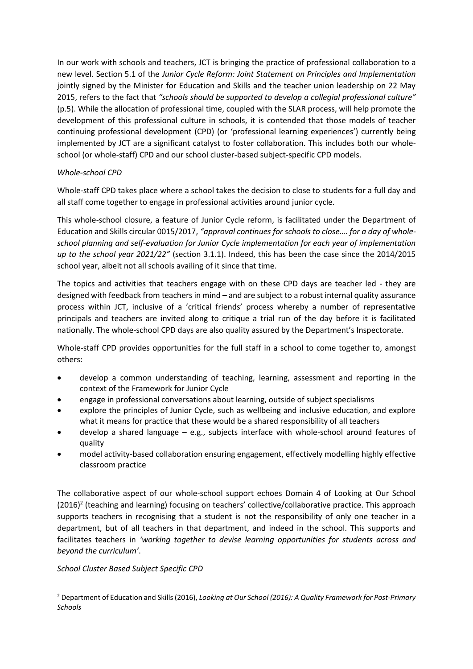In our work with schools and teachers, JCT is bringing the practice of professional collaboration to a new level. Section 5.1 of the *Junior Cycle Reform: Joint Statement on Principles and Implementation* jointly signed by the Minister for Education and Skills and the teacher union leadership on 22 May 2015, refers to the fact that *"schools should be supported to develop a collegial professional culture"* (p.5). While the allocation of professional time, coupled with the SLAR process, will help promote the development of this professional culture in schools, it is contended that those models of teacher continuing professional development (CPD) (or 'professional learning experiences') currently being implemented by JCT are a significant catalyst to foster collaboration. This includes both our wholeschool (or whole-staff) CPD and our school cluster-based subject-specific CPD models.

## *Whole-school CPD*

Whole-staff CPD takes place where a school takes the decision to close to students for a full day and all staff come together to engage in professional activities around junior cycle.

This whole-school closure, a feature of Junior Cycle reform, is facilitated under the Department of Education and Skills circular 0015/2017, *"approval continues for schools to close…. for a day of wholeschool planning and self-evaluation for Junior Cycle implementation for each year of implementation up to the school year 2021/22"* (section 3.1.1). Indeed, this has been the case since the 2014/2015 school year, albeit not all schools availing of it since that time.

The topics and activities that teachers engage with on these CPD days are teacher led - they are designed with feedback from teachers in mind – and are subject to a robust internal quality assurance process within JCT, inclusive of a 'critical friends' process whereby a number of representative principals and teachers are invited along to critique a trial run of the day before it is facilitated nationally. The whole-school CPD days are also quality assured by the Department's Inspectorate.

Whole-staff CPD provides opportunities for the full staff in a school to come together to, amongst others:

- develop a common understanding of teaching, learning, assessment and reporting in the context of the Framework for Junior Cycle
- engage in professional conversations about learning, outside of subject specialisms
- explore the principles of Junior Cycle, such as wellbeing and inclusive education, and explore what it means for practice that these would be a shared responsibility of all teachers
- develop a shared language e.g., subjects interface with whole-school around features of quality
- model activity-based collaboration ensuring engagement, effectively modelling highly effective classroom practice

The collaborative aspect of our whole-school support echoes Domain 4 of Looking at Our School (2016)<sup>2</sup> (teaching and learning) focusing on teachers' collective/collaborative practice. This approach supports teachers in recognising that a student is not the responsibility of only one teacher in a department, but of all teachers in that department, and indeed in the school. This supports and facilitates teachers in *'working together to devise learning opportunities for students across and beyond the curriculum'*.

# *School Cluster Based Subject Specific CPD*

1

<sup>2</sup> Department of Education and Skills (2016), *Looking at Our School (2016): A Quality Framework for Post-Primary Schools*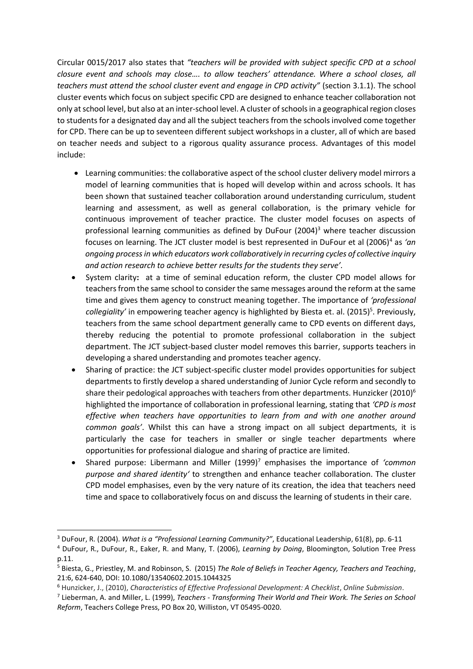Circular 0015/2017 also states that *"teachers will be provided with subject specific CPD at a school closure event and schools may close…. to allow teachers' attendance. Where a school closes, all teachers must attend the school cluster event and engage in CPD activity"* (section 3.1.1). The school cluster events which focus on subject specific CPD are designed to enhance teacher collaboration not only at school level, but also at an inter-school level. A cluster of schools in a geographical region closes to students for a designated day and all the subject teachers from the schools involved come together for CPD. There can be up to seventeen different subject workshops in a cluster, all of which are based on teacher needs and subject to a rigorous quality assurance process. Advantages of this model include:

- Learning communities: the collaborative aspect of the school cluster delivery model mirrors a model of learning communities that is hoped will develop within and across schools. It has been shown that sustained teacher collaboration around understanding curriculum, student learning and assessment, as well as general collaboration, is the primary vehicle for continuous improvement of teacher practice. The cluster model focuses on aspects of professional learning communities as defined by DuFour  $(2004)^3$  where teacher discussion focuses on learning. The JCT cluster model is best represented in DuFour et al (2006)<sup>4</sup> as 'an *ongoing process in which educators work collaboratively in recurring cycles of collective inquiry and action research to achieve better results for the students they serve'.*
- System clarity**:** at a time of seminal education reform, the cluster CPD model allows for teachers from the same school to consider the same messages around the reform at the same time and gives them agency to construct meaning together. The importance of *'professional*  collegiality' in empowering teacher agency is highlighted by Biesta et. al. (2015)<sup>5</sup>. Previously, teachers from the same school department generally came to CPD events on different days, thereby reducing the potential to promote professional collaboration in the subject department. The JCT subject-based cluster model removes this barrier, supports teachers in developing a shared understanding and promotes teacher agency.
- Sharing of practice: the JCT subject-specific cluster model provides opportunities for subject departments to firstly develop a shared understanding of Junior Cycle reform and secondly to share their pedological approaches with teachers from other departments. Hunzicker  $(2010)^6$ highlighted the importance of collaboration in professional learning, stating that *'CPD is most effective when teachers have opportunities to learn from and with one another around common goals'*. Whilst this can have a strong impact on all subject departments, it is particularly the case for teachers in smaller or single teacher departments where opportunities for professional dialogue and sharing of practice are limited.
- Shared purpose: Libermann and Miller (1999)<sup>7</sup> emphasises the importance of *'common purpose and shared identity'* to strengthen and enhance teacher collaboration. The cluster CPD model emphasises, even by the very nature of its creation, the idea that teachers need time and space to collaboratively focus on and discuss the learning of students in their care.

1

<sup>3</sup> DuFour, R. (2004). *What is a "Professional Learning Community?"*, Educational Leadership, 61(8), pp. 6-11

<sup>4</sup> DuFour, R., DuFour, R., Eaker, R. and Many, T. (2006), *Learning by Doing*, Bloomington, Solution Tree Press p.11.

<sup>5</sup> Biesta, G., Priestley, M. and Robinson, S. (2015) *The Role of Beliefs in Teacher Agency, Teachers and Teaching*, 21:6, 624-640, DOI: 10.1080/13540602.2015.1044325

<sup>6</sup> Hunzicker, J., (2010), *Characteristics of Effective Professional Development: A Checklist*, *Online Submission*.

<sup>7</sup> Lieberman, A. and Miller, L. (1999), *Teachers - Transforming Their World and Their Work. The Series on School Reform*, Teachers College Press, PO Box 20, Williston, VT 05495-0020.